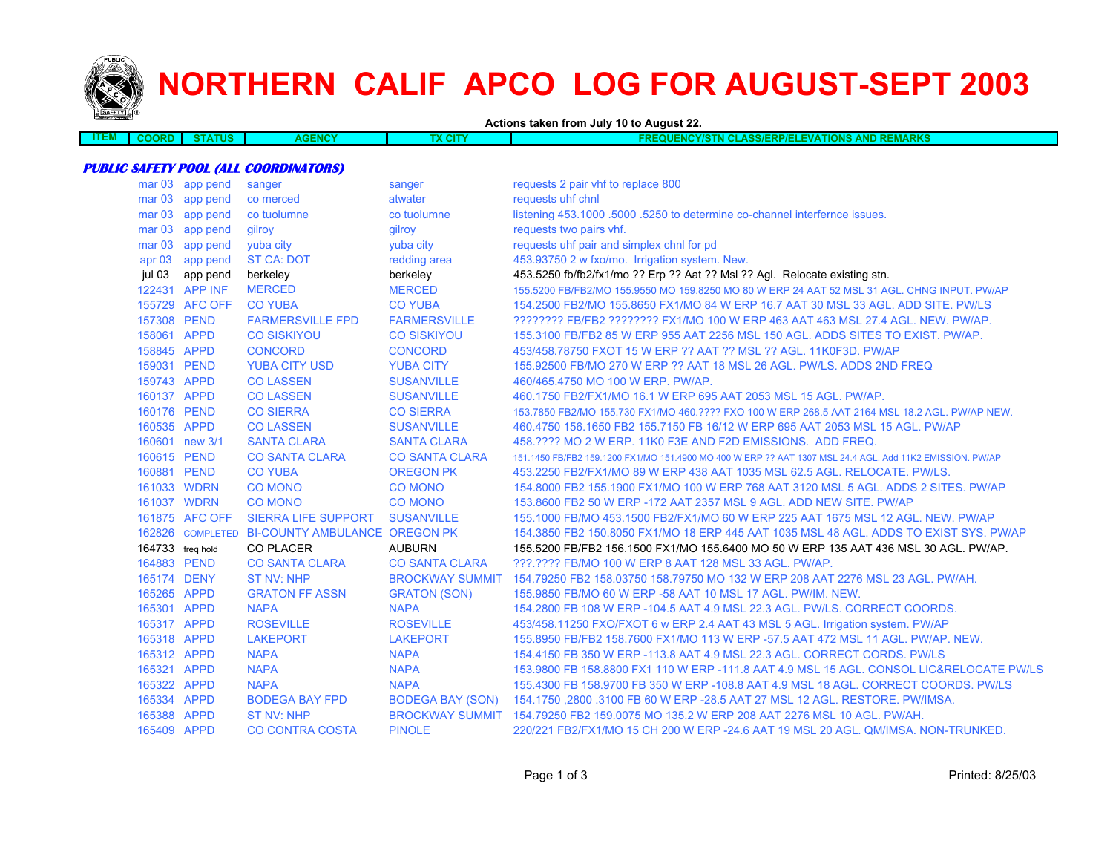

# **NORTHERN CALIF APCO LOG FOR AUGUST-SEPT 2003**

**Actions taken from July 10 to August 22.**

| <b>STATUS</b><br><b>MAN</b><br><b>ENCY/STN CLASS/ERP/ELEVATIONS /</b><br><b>CITY</b><br>JORD<br>EM<br>$\sim$ 1.4 $\sim$<br>.<br>IVL | <b>AND REMARKS</b> |
|-------------------------------------------------------------------------------------------------------------------------------------|--------------------|

#### **PUBLIC SAFETY POOL (ALL COORDINATORS)**

| mar <sub>03</sub> | app pend       | sanger                                         | sanger                  | requests 2 pair vhf to replace 800                                                                       |
|-------------------|----------------|------------------------------------------------|-------------------------|----------------------------------------------------------------------------------------------------------|
| mar <sub>03</sub> | app pend       | co merced                                      | atwater                 | requests uhf chnl                                                                                        |
| mar <sub>03</sub> | app pend       | co tuolumne                                    | co tuolumne             | listening 453.1000 .5000 .5250 to determine co-channel interfernce issues.                               |
| mar <sub>03</sub> | app pend       | gilroy                                         | gilroy                  | requests two pairs vhf.                                                                                  |
| mar <sub>03</sub> | app pend       | yuba city                                      | yuba city               | requests uhf pair and simplex chnl for pd                                                                |
| apr <sub>03</sub> | app pend       | <b>ST CA: DOT</b>                              | redding area            | 453.93750 2 w fxo/mo. Irrigation system. New.                                                            |
| jul 03            | app pend       | berkeley                                       | berkeley                | 453.5250 fb/fb2/fx1/mo ?? Erp ?? Aat ?? Msl ?? Agl. Relocate existing stn.                               |
|                   | 122431 APP INF | <b>MERCED</b>                                  | <b>MERCED</b>           | 155,5200 FB/FB2/MO 155,9550 MO 159,8250 MO 80 W ERP 24 AAT 52 MSL 31 AGL, CHNG INPUT, PW/AP              |
|                   | 155729 AFC OFF | <b>CO YUBA</b>                                 | <b>CO YUBA</b>          | 154.2500 FB2/MO 155.8650 FX1/MO 84 W ERP 16.7 AAT 30 MSL 33 AGL. ADD SITE. PW/LS                         |
| 157308 PEND       |                | <b>FARMERSVILLE FPD</b>                        | <b>FARMERSVILLE</b>     | ???????? FB/FB2 ??????? FX1/MO 100 W ERP 463 AAT 463 MSL 27.4 AGL. NEW. PW/AP.                           |
| 158061 APPD       |                | <b>CO SISKIYOU</b>                             | <b>CO SISKIYOU</b>      | 155,3100 FB/FB2 85 W ERP 955 AAT 2256 MSL 150 AGL, ADDS SITES TO EXIST, PW/AP.                           |
| 158845 APPD       |                | <b>CONCORD</b>                                 | <b>CONCORD</b>          | 453/458.78750 FXOT 15 W ERP ?? AAT ?? MSL ?? AGL, 11K0F3D, PW/AP                                         |
| 159031 PEND       |                | <b>YUBA CITY USD</b>                           | <b>YUBA CITY</b>        | 155,92500 FB/MO 270 W ERP ?? AAT 18 MSL 26 AGL, PW/LS, ADDS 2ND FREQ                                     |
| 159743 APPD       |                | <b>CO LASSEN</b>                               | <b>SUSANVILLE</b>       | 460/465.4750 MO 100 W ERP. PW/AP.                                                                        |
| 160137 APPD       |                | <b>CO LASSEN</b>                               | <b>SUSANVILLE</b>       | 460.1750 FB2/FX1/MO 16.1 W ERP 695 AAT 2053 MSL 15 AGL. PW/AP.                                           |
| 160176 PEND       |                | <b>CO SIERRA</b>                               | <b>CO SIERRA</b>        | 153.7850 FB2/MO 155.730 FX1/MO 460.???? FXO 100 W ERP 268.5 AAT 2164 MSL 18.2 AGL. PW/AP NEW.            |
| 160535 APPD       |                | <b>CO LASSEN</b>                               | <b>SUSANVILLE</b>       | 460.4750 156.1650 FB2 155.7150 FB 16/12 W ERP 695 AAT 2053 MSL 15 AGL. PW/AP                             |
|                   | 160601 new 3/1 | <b>SANTA CLARA</b>                             | <b>SANTA CLARA</b>      | 458.???? MO 2 W ERP. 11K0 F3E AND F2D EMISSIONS. ADD FREQ.                                               |
| 160615 PEND       |                | <b>CO SANTA CLARA</b>                          | <b>CO SANTA CLARA</b>   | 151.1450 FB/FB2 159.1200 FX1/MO 151.4900 MO 400 W ERP ?? AAT 1307 MSL 24.4 AGL. Add 11K2 EMISSION. PW/AP |
| 160881 PEND       |                | <b>CO YUBA</b>                                 | <b>OREGON PK</b>        | 453.2250 FB2/FX1/MO 89 W ERP 438 AAT 1035 MSL 62.5 AGL, RELOCATE, PW/LS.                                 |
|                   | 161033 WDRN    | <b>CO MONO</b>                                 | <b>CO MONO</b>          | 154,8000 FB2 155,1900 FX1/MO 100 W ERP 768 AAT 3120 MSL 5 AGL, ADDS 2 SITES, PW/AP                       |
|                   | 161037 WDRN    | <b>CO MONO</b>                                 | <b>CO MONO</b>          | 153,8600 FB2 50 W ERP -172 AAT 2357 MSL 9 AGL, ADD NEW SITE, PW/AP                                       |
|                   | 161875 AFC OFF | <b>SIERRA LIFE SUPPORT</b>                     | <b>SUSANVILLE</b>       | 155.1000 FB/MO 453.1500 FB2/FX1/MO 60 W ERP 225 AAT 1675 MSL 12 AGL, NEW, PW/AP                          |
|                   |                | 162826 COMPLETED BI-COUNTY AMBULANCE OREGON PK |                         | 154.3850 FB2 150.8050 FX1/MO 18 ERP 445 AAT 1035 MSL 48 AGL. ADDS TO EXIST SYS. PW/AP                    |
| 164733 freq hold  |                | <b>CO PLACER</b>                               | <b>AUBURN</b>           | 155,5200 FB/FB2 156,1500 FX1/MO 155,6400 MO 50 W ERP 135 AAT 436 MSL 30 AGL. PW/AP.                      |
| 164883 PEND       |                | <b>CO SANTA CLARA</b>                          | <b>CO SANTA CLARA</b>   | ???.???? FB/MO 100 W ERP 8 AAT 128 MSL 33 AGL. PW/AP.                                                    |
| 165174 DENY       |                | <b>ST NV: NHP</b>                              | <b>BROCKWAY SUMMIT</b>  | 154.79250 FB2 158.03750 158.79750 MO 132 W ERP 208 AAT 2276 MSL 23 AGL, PW/AH.                           |
| 165265 APPD       |                | <b>GRATON FF ASSN</b>                          | <b>GRATON (SON)</b>     | 155,9850 FB/MO 60 W ERP -58 AAT 10 MSL 17 AGL, PW/IM, NEW.                                               |
| 165301 APPD       |                | <b>NAPA</b>                                    | <b>NAPA</b>             | 154.2800 FB 108 W ERP -104.5 AAT 4.9 MSL 22.3 AGL. PW/LS. CORRECT COORDS.                                |
| 165317 APPD       |                | <b>ROSEVILLE</b>                               | <b>ROSEVILLE</b>        | 453/458.11250 FXO/FXOT 6 w ERP 2.4 AAT 43 MSL 5 AGL. Irrigation system. PW/AP                            |
| 165318 APPD       |                | <b>LAKEPORT</b>                                | <b>LAKEPORT</b>         | 155,8950 FB/FB2 158,7600 FX1/MO 113 W ERP -57.5 AAT 472 MSL 11 AGL, PW/AP, NEW.                          |
| 165312 APPD       |                | <b>NAPA</b>                                    | <b>NAPA</b>             | 154.4150 FB 350 W ERP -113.8 AAT 4.9 MSL 22.3 AGL. CORRECT CORDS. PW/LS                                  |
| 165321 APPD       |                | <b>NAPA</b>                                    | <b>NAPA</b>             | 153,9800 FB 158,8800 FX1 110 W ERP -111.8 AAT 4.9 MSL 15 AGL. CONSOL LIC&RELOCATE PW/LS                  |
| 165322 APPD       |                | <b>NAPA</b>                                    | <b>NAPA</b>             | 155.4300 FB 158.9700 FB 350 W ERP -108.8 AAT 4.9 MSL 18 AGL. CORRECT COORDS. PW/LS                       |
| 165334 APPD       |                | <b>BODEGA BAY FPD</b>                          | <b>BODEGA BAY (SON)</b> | 154.1750 ,2800 .3100 FB 60 W ERP -28.5 AAT 27 MSL 12 AGL. RESTORE. PW/IMSA.                              |
| 165388 APPD       |                | <b>ST NV: NHP</b>                              | <b>BROCKWAY SUMMIT</b>  | 154.79250 FB2 159.0075 MO 135.2 W ERP 208 AAT 2276 MSL 10 AGL. PW/AH.                                    |
| 165409 APPD       |                | <b>CO CONTRA COSTA</b>                         | <b>PINOLE</b>           | 220/221 FB2/FX1/MO 15 CH 200 W ERP -24.6 AAT 19 MSL 20 AGL. QM/IMSA, NON-TRUNKED.                        |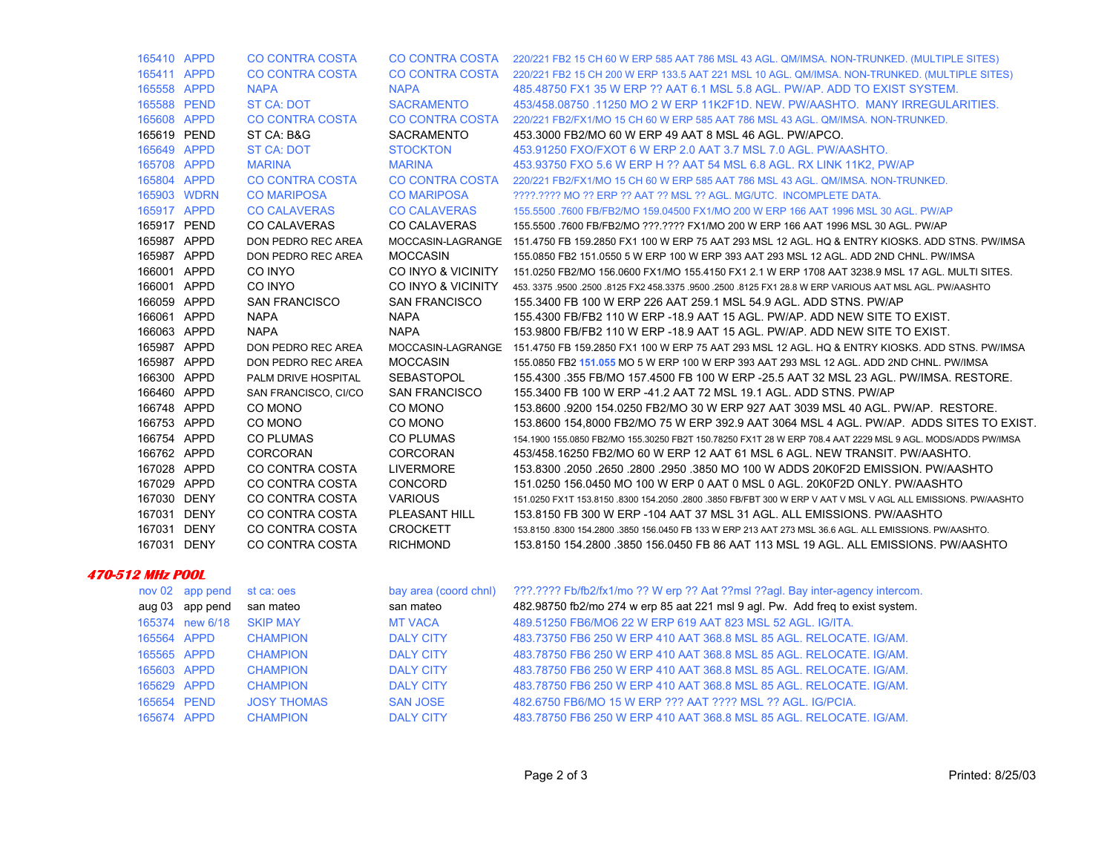| 165410 APPD             |                 | <b>CO CONTRA COSTA</b> |                       | CO CONTRA COSTA 220/221 FB2 15 CH 60 W ERP 585 AAT 786 MSL 43 AGL. QM/IMSA. NON-TRUNKED. (MULTIPLE SITES)          |
|-------------------------|-----------------|------------------------|-----------------------|--------------------------------------------------------------------------------------------------------------------|
| 165411 APPD             |                 | <b>CO CONTRA COSTA</b> |                       | CO CONTRA COSTA 220/221 FB2 15 CH 200 W ERP 133.5 AAT 221 MSL 10 AGL. QM/IMSA. NON-TRUNKED. (MULTIPLE SITES)       |
| 165558 APPD             |                 | <b>NAPA</b>            | <b>NAPA</b>           | 485.48750 FX1 35 W ERP ?? AAT 6.1 MSL 5.8 AGL. PW/AP. ADD TO EXIST SYSTEM.                                         |
| 165588 PEND             |                 | ST CA: DOT             | <b>SACRAMENTO</b>     | 453/458.08750 .11250 MO 2 W ERP 11K2F1D, NEW, PW/AASHTO, MANY IRREGULARITIES,                                      |
| 165608 APPD             |                 | <b>CO CONTRA COSTA</b> | CO CONTRA COSTA       | 220/221 FB2/FX1/MO 15 CH 60 W ERP 585 AAT 786 MSL 43 AGL, QM/IMSA, NON-TRUNKED.                                    |
| 165619 PEND             |                 | ST CA: B&G             | SACRAMENTO            | 453.3000 FB2/MO 60 W ERP 49 AAT 8 MSL 46 AGL. PW/APCO.                                                             |
| 165649 APPD             |                 | ST CA: DOT             | <b>STOCKTON</b>       | 453.91250 FXO/FXOT 6 W ERP 2.0 AAT 3.7 MSL 7.0 AGL. PW/AASHTO.                                                     |
| 165708 APPD             |                 | <b>MARINA</b>          | <b>MARINA</b>         | 453.93750 FXO 5.6 W ERP H ?? AAT 54 MSL 6.8 AGL. RX LINK 11K2, PW/AP                                               |
| 165804 APPD             |                 | CO CONTRA COSTA        | CO CONTRA COSTA       | 220/221 FB2/FX1/MO 15 CH 60 W ERP 585 AAT 786 MSL 43 AGL, QM/IMSA, NON-TRUNKED.                                    |
| 165903 WDRN             |                 | <b>CO MARIPOSA</b>     | <b>CO MARIPOSA</b>    | 2222.2222 MO 22 ERP 22 AAT 22 MSL 22 AGL, MG/UTC. INCOMPLETE DATA.                                                 |
| 165917 APPD             |                 | <b>CO CALAVERAS</b>    | <b>CO CALAVERAS</b>   | 155.5500 .7600 FB/FB2/MO 159.04500 FX1/MO 200 W ERP 166 AAT 1996 MSL 30 AGL. PW/AP                                 |
| 165917 PEND             |                 | <b>CO CALAVERAS</b>    | <b>CO CALAVERAS</b>   | 155.5500 .7600 FB/FB2/MO ???.???? FX1/MO 200 W ERP 166 AAT 1996 MSL 30 AGL. PW/AP                                  |
| 165987 APPD             |                 | DON PEDRO REC AREA     |                       | MOCCASIN-LAGRANGE 151.4750 FB 159.2850 FX1 100 W ERP 75 AAT 293 MSL 12 AGL. HQ & ENTRY KIOSKS. ADD STNS. PW/IMSA   |
| 165987 APPD             |                 | DON PEDRO REC AREA     | <b>MOCCASIN</b>       | 155.0850 FB2 151.0550 5 W ERP 100 W ERP 393 AAT 293 MSL 12 AGL. ADD 2ND CHNL. PW/IMSA                              |
| 166001 APPD             |                 | CO INYO                |                       | CO INYO & VICINITY 151.0250 FB2/MO 156.0600 FX1/MO 155.4150 FX1 2.1 W ERP 1708 AAT 3238.9 MSL 17 AGL. MULTI SITES. |
| 166001 APPD             |                 | CO INYO                | CO INYO & VICINITY    | 453. 3375 .9500 .2500 .8125 FX2 458.3375 .9500 .2500 .8125 FX1 28.8 W ERP VARIOUS AAT MSL AGL. PW/AASHTO           |
| 166059 APPD             |                 | <b>SAN FRANCISCO</b>   | <b>SAN FRANCISCO</b>  | 155.3400 FB 100 W ERP 226 AAT 259.1 MSL 54.9 AGL. ADD STNS. PW/AP                                                  |
| 166061 APPD             |                 | <b>NAPA</b>            | <b>NAPA</b>           | 155.4300 FB/FB2 110 W ERP -18.9 AAT 15 AGL. PW/AP. ADD NEW SITE TO EXIST.                                          |
| 166063 APPD             |                 | <b>NAPA</b>            | <b>NAPA</b>           | 153.9800 FB/FB2 110 W ERP -18.9 AAT 15 AGL. PW/AP. ADD NEW SITE TO EXIST.                                          |
| 165987 APPD             |                 | DON PEDRO REC AREA     |                       | MOCCASIN-LAGRANGE 151.4750 FB 159.2850 FX1 100 W ERP 75 AAT 293 MSL 12 AGL. HQ & ENTRY KIOSKS. ADD STNS. PW/IMSA   |
| 165987 APPD             |                 | DON PEDRO REC AREA     | <b>MOCCASIN</b>       | 155.0850 FB2 151.055 MO 5 W ERP 100 W ERP 393 AAT 293 MSL 12 AGL. ADD 2ND CHNL. PW/IMSA                            |
| 166300 APPD             |                 | PALM DRIVE HOSPITAL    | <b>SEBASTOPOL</b>     | 155.4300 .355 FB/MO 157.4500 FB 100 W ERP -25.5 AAT 32 MSL 23 AGL. PW/IMSA. RESTORE.                               |
| 166460 APPD             |                 | SAN FRANCISCO, CI/CO   | <b>SAN FRANCISCO</b>  | 155.3400 FB 100 W ERP -41.2 AAT 72 MSL 19.1 AGL. ADD STNS. PW/AP                                                   |
| 166748 APPD             |                 | CO MONO                | CO MONO               | 153.8600 9200 154.0250 FB2/MO 30 W ERP 927 AAT 3039 MSL 40 AGL. PW/AP. RESTORE.                                    |
| 166753 APPD             |                 | CO MONO                | CO MONO               | 153.8600 154,8000 FB2/MO 75 W ERP 392.9 AAT 3064 MSL 4 AGL. PW/AP. ADDS SITES TO EXIST.                            |
| 166754 APPD             |                 | <b>CO PLUMAS</b>       | <b>CO PLUMAS</b>      | 154.1900 155.0850 FB2/MO 155.30250 FB2T 150.78250 FX1T 28 W ERP 708.4 AAT 2229 MSL 9 AGL. MODS/ADDS PW/IMSA        |
| 166762 APPD             |                 | <b>CORCORAN</b>        | CORCORAN              | 453/458.16250 FB2/MO 60 W ERP 12 AAT 61 MSL 6 AGL. NEW TRANSIT. PW/AASHTO.                                         |
| 167028 APPD             |                 | CO CONTRA COSTA        | <b>LIVERMORE</b>      | 153.8300 .2050 .2650 .2800 .2950 .3850 MO 100 W ADDS 20K0F2D EMISSION PW/AASHTO                                    |
| 167029 APPD             |                 | CO CONTRA COSTA        | <b>CONCORD</b>        | 151.0250 156.0450 MO 100 W ERP 0 AAT 0 MSL 0 AGL, 20K0F2D ONLY, PW/AASHTO                                          |
| 167030 DENY             |                 | CO CONTRA COSTA        | <b>VARIOUS</b>        | 151.0250 FX1T 153.8150 .8300 154.2050 .2800 .3850 FB/FBT 300 W ERP V AAT V MSL V AGL ALL EMISSIONS. PW/AASHTO      |
| 167031 DENY             |                 | CO CONTRA COSTA        | PLEASANT HILL         | 153.8150 FB 300 W ERP -104 AAT 37 MSL 31 AGL. ALL EMISSIONS. PW/AASHTO                                             |
| 167031 DENY             |                 | CO CONTRA COSTA        | <b>CROCKETT</b>       | 153,8150,8300 154,2800,3850 156,0450 FB 133 W ERP 213 AAT 273 MSL 36.6 AGL, ALL EMISSIONS, PW/AASHTO,              |
| 167031 DENY             |                 | CO CONTRA COSTA        | <b>RICHMOND</b>       | 153.8150 154.2800 .3850 156.0450 FB 86 AAT 113 MSL 19 AGL. ALL EMISSIONS. PW/AASHTO                                |
| <b>470-512 MHz POOL</b> |                 |                        |                       |                                                                                                                    |
|                         | nov 02 app pend | st ca: oes             | bay area (coord chnl) | ???.???? Fb/fb2/fx1/mo ?? W erp ?? Aat ??msl ??agl. Bay inter-agency intercom.                                     |
|                         | aug 03 app pend | san mateo              | san mateo             | 482.98750 fb2/mo 274 w erp 85 aat 221 msl 9 agl. Pw. Add freq to exist system.                                     |
|                         | 165374 new 6/18 | <b>SKIP MAY</b>        | <b>MT VACA</b>        | 489.51250 FB6/MO6 22 W ERP 619 AAT 823 MSL 52 AGL. IG/ITA.                                                         |
| 165564 APPD             |                 | <b>CHAMPION</b>        | <b>DALY CITY</b>      | 483.73750 FB6 250 W ERP 410 AAT 368.8 MSL 85 AGL. RELOCATE. IG/AM.                                                 |
| 165565 APPD             |                 | <b>CHAMPION</b>        | <b>DALY CITY</b>      | 483.78750 FB6 250 W ERP 410 AAT 368.8 MSL 85 AGL, RELOCATE, IG/AM.                                                 |

SAN JOSE 482.6750 FB6/MO 15 W ERP ??? AAT ???? MSL ?? AGL. IG/PCIA.

165603 APPD CHAMPION DALY CITY 483.78750 FB6 250 W ERP 410 AAT 368.8 MSL 85 AGL. RELOCATE. IG/AM. 165629 APPD CHAMPION DALY CITY 483.78750 FB6 250 W ERP 410 AAT 368.8 MSL 85 AGL. RELOCATE. IG/AM.

165674 APPD CHAMPION DALY CITY 483.78750 FB6 250 W ERP 410 AAT 368.8 MSL 85 AGL. RELOCATE. IG/AM.

165654 PEND JOSY THOMAS